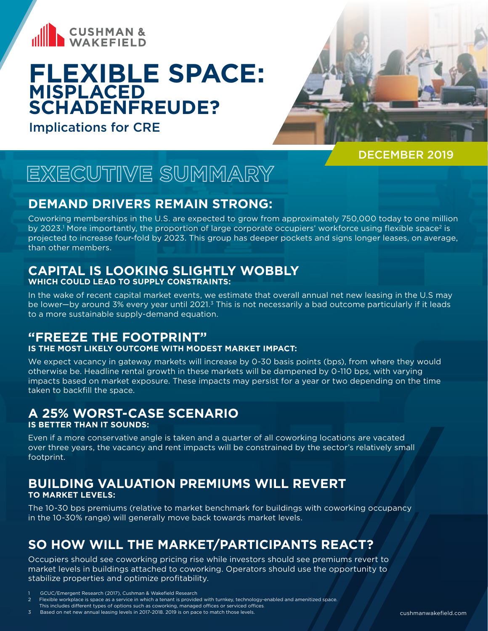

# **FLEXIBLE SPACE: MISPLACED SCHADENFREUDE?**

Implications for CRE



DECEMBER 2019

# **EXECUTIVE SUMMARY**

# **DEMAND DRIVERS REMAIN STRONG:**

Coworking memberships in the U.S. are expected to grow from approximately 750,000 today to one million [by 2023](mailto:?subject=).<sup>1</sup> More importantly, the proportion of large corporate occupiers' workforce using flexible space<sup>2</sup> is projected to increase four-fold by 2023. This group has deeper pockets and signs longer leases, on average, than other members.

### **CAPITAL IS LOOKING SLIGHTLY WOBBLY WHICH COULD LEAD TO SUPPLY CONSTRAINTS:**

In the wake of recent capital market events, we estimate that overall annual net new leasing in the U.S may be lower—by around 3% every year until 2021.<sup>3</sup> This is not necessarily a bad outcome particularly if it leads to a more sustainable supply-demand equation.

# **"FREEZE THE FOOTPRINT"**

### **IS THE MOST LIKELY OUTCOME WITH MODEST MARKET IMPACT:**

We expect vacancy in gateway markets will increase by 0-30 basis points (bps), from where they would otherwise be. Headline rental growth in these markets will be dampened by 0-110 bps, with varying impacts based on market exposure. These impacts may persist for a year or two depending on the time taken to backfill the space.

### **A 25% WORST-CASE SCENARIO IS BETTER THAN IT SOUNDS:**

Even if a more conservative angle is taken and a quarter of all coworking locations are vacated over three years, the vacancy and rent impacts will be constrained by the sector's relatively small footprint.

# **BUILDING VALUATION PREMIUMS WILL REVERT**

### **TO MARKET LEVELS:**

The 10-30 bps premiums (relative to market benchmark for buildings with coworking occupancy in the 10-30% range) will generally move back towards market levels.

# **SO HOW WILL THE MARKET/PARTICIPANTS REACT?**

Occupiers should see coworking pricing rise while investors should see premiums revert to market levels in buildings attached to coworking. Operators should use the opportunity to stabilize properties and optimize profitability.

<sup>1</sup> GCUC/Emergent Research (2017), Cushman & Wakefield Research

Flexible workplace is space as a service in which a tenant is provided with turnkey, technology-enabled and amenitized space.

This includes different types of options such as coworking, managed offices or serviced offices. Based on net new annual leasing levels in 2017-2018. 2019 is on pace to match those levels.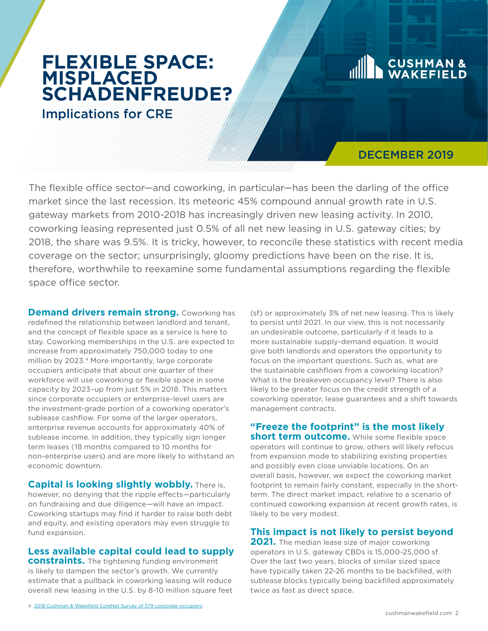# **FLEXIBLE SPACE: MISPLACED SCHADENFREUDE?** Implications for CRE

DECEMBER 2019

**UNIVERSITY** CUSHMAN &

The flexible office sector—and coworking, in particular—has been the darling of the office market since the last recession. Its meteoric 45% compound annual growth rate in U.S. gateway markets from 2010-2018 has increasingly driven new leasing activity. In 2010, coworking leasing represented just 0.5% of all net new leasing in U.S. gateway cities; by 2018, the share was 9.5%. It is tricky, however, to reconcile these statistics with recent media coverage on the sector; unsurprisingly, gloomy predictions have been on the rise. It is, therefore, worthwhile to reexamine some fundamental assumptions regarding the flexible space office sector.

**Demand drivers remain strong.** Coworking has redefined the relationship between landlord and tenant, and the concept of flexible space as a service is here to stay. Coworking memberships in the U.S. are expected to increase from approximately 750,000 today to one million by 2023.4 More importantly, large corporate occupiers anticipate that about one quarter of their workforce will use coworking or flexible space in some capacity by 2023–up from just 5% in 2018. This matters since corporate occupiers or enterprise-level users are the investment-grade portion of a coworking operator's sublease cashflow. For some of the larger operators, enterprise revenue accounts for approximately 40% of sublease income. In addition, they typically sign longer term leases (18 months compared to 10 months for non-enterprise users) and are more likely to withstand an economic downturn.

**Capital is looking slightly wobbly.** There is, however, no denying that the ripple effects—particularly on fundraising and due diligence—will have an impact. Coworking startups may find it harder to raise both debt and equity, and existing operators may even struggle to fund expansion.

#### **Less available capital could lead to supply**

**constraints.** The tightening funding environment is likely to dampen the sector's growth. We currently estimate that a pullback in coworking leasing will reduce overall new leasing in the U.S. by 8-10 million square feet (sf) or approximately 3% of net new leasing. This is likely to persist until 2021. In our view, this is not necessarily an undesirable outcome, particularly if it leads to a more sustainable supply-demand equation. It would give both landlords and operators the opportunity to focus on the important questions. Such as, what are the sustainable cashflows from a coworking location? What is the breakeven occupancy level? There is also likely to be greater focus on the credit strength of a coworking operator, lease guarantees and a shift towards management contracts.

**"Freeze the footprint" is the most likely short term outcome.** While some flexible space operators will continue to grow, others will likely refocus from expansion mode to stabilizing existing properties and possibly even close unviable locations. On an overall basis, however, we expect the coworking market footprint to remain fairly constant, especially in the shortterm. The direct market impact, relative to a scenario of continued coworking expansion at recent growth rates, is likely to be very modest.

### **This impact is not likely to persist beyond**

**2021.** The median lease size of major coworking operators in U.S. gateway CBDs is 15,000-25,000 sf. Over the last two years, blocks of similar sized space have typically taken 22-26 months to be backfilled, with sublease blocks typically being backfilled approximately twice as fast as direct space.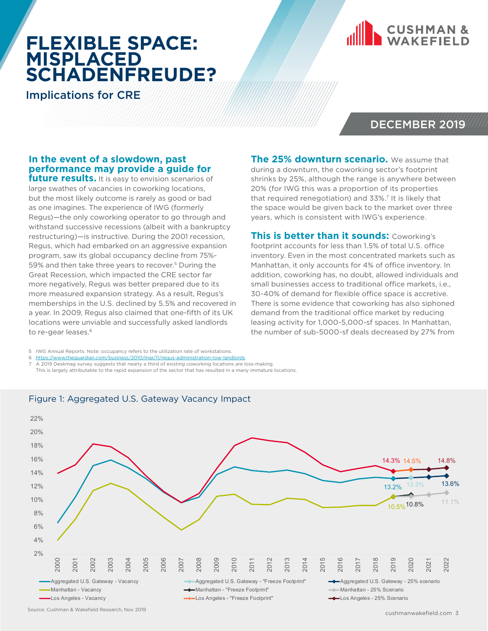# **FLEXIBLE SPACE: MISPLACED SCHADENFREUDE?**

Implications for CRE



### DECEMBER 2019

### **In the event of a slowdown, past performance may provide a guide for**

**future results.** It is easy to envision scenarios of large swathes of vacancies in coworking locations, but the most likely outcome is rarely as good or bad as one imagines. The experience of IWG (formerly Regus)—the only coworking operator to go through and withstand successive recessions (albeit with a bankruptcy restructuring)—is instructive. During the 2001 recession, Regus, which had embarked on an aggressive expansion program, saw its global occupancy decline from 75%- 59% and then take three years to recover.<sup>5</sup> During the Great Recession, which impacted the CRE sector far more negatively, Regus was better prepared due to its more measured expansion strategy. As a result, Regus's memberships in the U.S. declined by 5.5% and recovered in a year. In 2009, Regus also claimed that one-fifth of its UK locations were unviable and successfully asked landlords to re-gear leases.<sup>6</sup>

**The 25% downturn scenario.** We assume that during a downturn, the coworking sector's footprint shrinks by 25%, although the range is anywhere between 20% (for IWG this was a proportion of its properties that required renegotiation) and 33%.7 It is likely that the space would be given back to the market over three years, which is consistent with IWG's experience.

**This is better than it sounds:** Coworking's footprint accounts for less than 1.5% of total U.S. office inventory. Even in the most concentrated markets such as Manhattan, it only accounts for 4% of office inventory. In addition, coworking has, no doubt, allowed individuals and small businesses access to traditional office markets, i.e., 30-40% of demand for flexible office space is accretive. There is some evidence that coworking has also siphoned demand from the traditional office market by reducing leasing activity for 1,000-5,000-sf spaces. In Manhattan, the number of sub-5000-sf deals decreased by 27% from

5 IWG Annual Reports. Note: occupancy refers to the utilization rate of workstations.

6 <https://www.theguardian.com/business/2010/mar/11/regus-administration-row-landlords>

A 2019 Deskmag survey suggests that nearly a third of existing coworking locations are loss-making. This is largely attributable to the rapid expansion of the sector that has resulted in a many immature locations.

13.2% 13.3% 13.6% 10.5%10.8% 11.1% 14.3% 14.5% 14.8% 2% 4% 6% 8% 10% 12% 14% 16% 18% 20% 22% 2000  $200$ 2002 2003 2004 2005 2006 2007 2008 2009  $\overline{20}$ 2011  $\overline{Q}$ 2013 2014 2015 2016  $\overline{20}$ 2018  $\overline{0}$ 2020  $20<sup>2</sup>$ 2022 Aggregated U.S. Gateway - Vacancy **Aggregated U.S. Gateway - "Freeze Footprint" Aggregated U.S. Gateway - 25% scenario** Manhattan - Vacancy Manhattan - "Freeze Footprint" Manhattan - 25% Scenario Los Angeles - Vacancy Los Angeles - "Los Angeles - "Freeze Footprint" Los Angeles - 25% Scenario Figure 1: Aggregated U.S. Gateway Vacancy Impact

cushmanwakefield.com 3 Source: Cushman & Wakefield Research, Nov 2019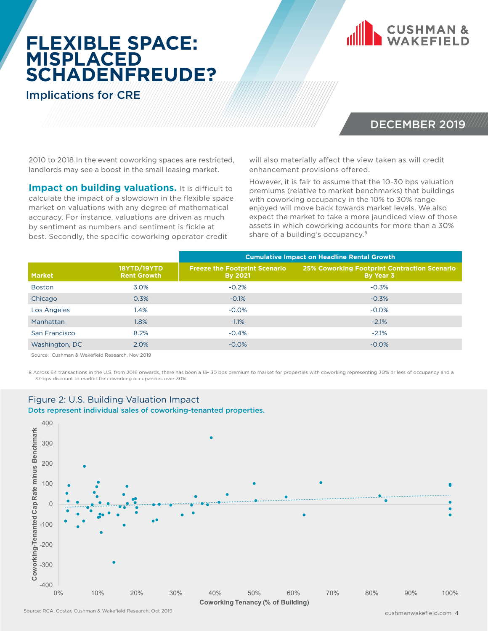

# **FLEXIBLE SPACE: MISPLACED SCHADENFREUDE?**

Implications for CRE

### DECEMBER 2019

2010 to 2018.In the event coworking spaces are restricted, landlords may see a boost in the small leasing market.

**Impact on building valuations.** It is difficult to calculate the impact of a slowdown in the flexible space market on valuations with any degree of mathematical accuracy. For instance, valuations are driven as much by sentiment as numbers and sentiment is fickle at best. Secondly, the specific coworking operator credit

will also materially affect the view taken as will credit enhancement provisions offered.

However, it is fair to assume that the 10-30 bps valuation premiums (relative to market benchmarks) that buildings with coworking occupancy in the 10% to 30% range enjoyed will move back towards market levels. We also expect the market to take a more jaundiced view of those assets in which coworking accounts for more than a 30% share of a building's occupancy.8

|                |                                          | <b>Cumulative Impact on Headline Rental Growth</b>     |                                                                  |
|----------------|------------------------------------------|--------------------------------------------------------|------------------------------------------------------------------|
| <b>Market</b>  | <b>18YTD/19YTD</b><br><b>Rent Growth</b> | <b>Freeze the Footprint Scenario</b><br><b>By 2021</b> | <b>25% Coworking Footprint Contraction Scenario</b><br>By Year 3 |
| <b>Boston</b>  | 3.0%                                     | $-0.2%$                                                | $-0.3%$                                                          |
| Chicago        | 0.3%                                     | $-0.1%$                                                | $-0.3%$                                                          |
| Los Angeles    | $1.4\%$                                  | $-0.0\%$                                               | $-0.0\%$                                                         |
| Manhattan      | $1.8\%$                                  | $-1.1%$                                                | $-2.1%$                                                          |
| San Francisco  | 8.2%                                     | $-0.4%$                                                | $-2.1%$                                                          |
| Washington, DC | 2.0%                                     | $-0.0%$                                                | $-0.0\%$                                                         |

Source: Cushman & Wakefield Research, Nov 2019

8 Across 64 transactions in the U.S. from 2016 onwards, there has been a 13- 30 bps premium to market for properties with coworking representing 30% or less of occupancy and a 37-bps discount to market for coworking occupancies over 30%.



#### Figure 2: U.S. Building Valuation Impact

Dots represent individual sales of coworking-tenanted properties.